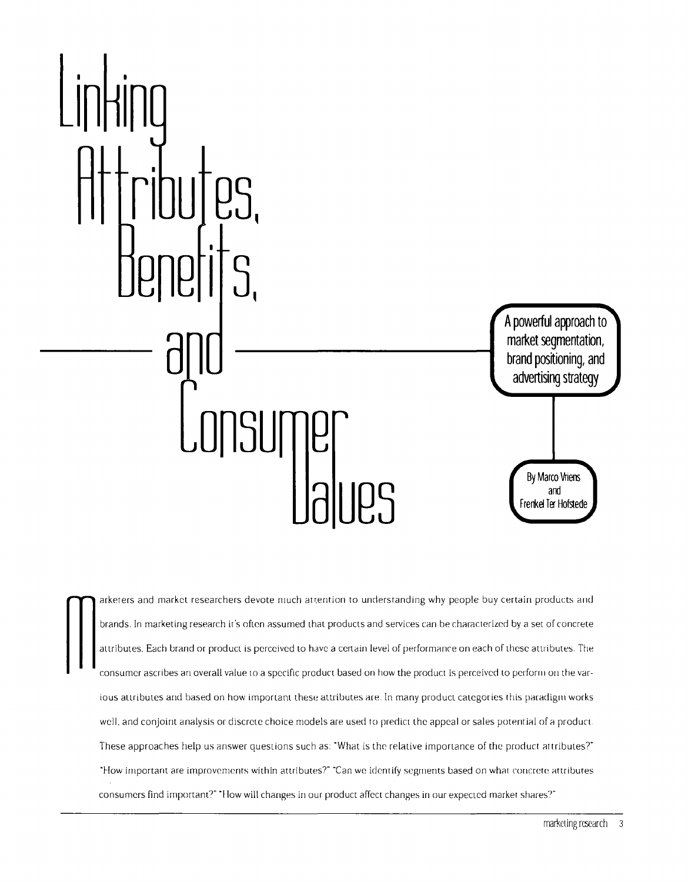

**finals** arketers and market researchers devote much attention to understanding why people buy certain products and<br>brands. In marketing research it's often assumed that products and services can be characterized by a set brands. In marketing research it's often assumed that products and services can be characterized by a set of concrete attributes. Each brand or product is perceived to have a certain level of performance on each of these attributes. The consumer ascribes an overall value to a specific product based on how the product is perceived to perform on the various attributes and based on how important these attributes are. In many product categories this paradigm works well, and conjoint analysis or discrete choice models are used to predict the appeal or sales potential of a product. These approaches help us answer questions such as: "What is the relative importance of the product attributes?" **i-low important are improvements within attributes?~ ~Can we identify segritents based on what concrete attributes** consumers find important?" "How will changes in our product affect changes in our expected market shares?"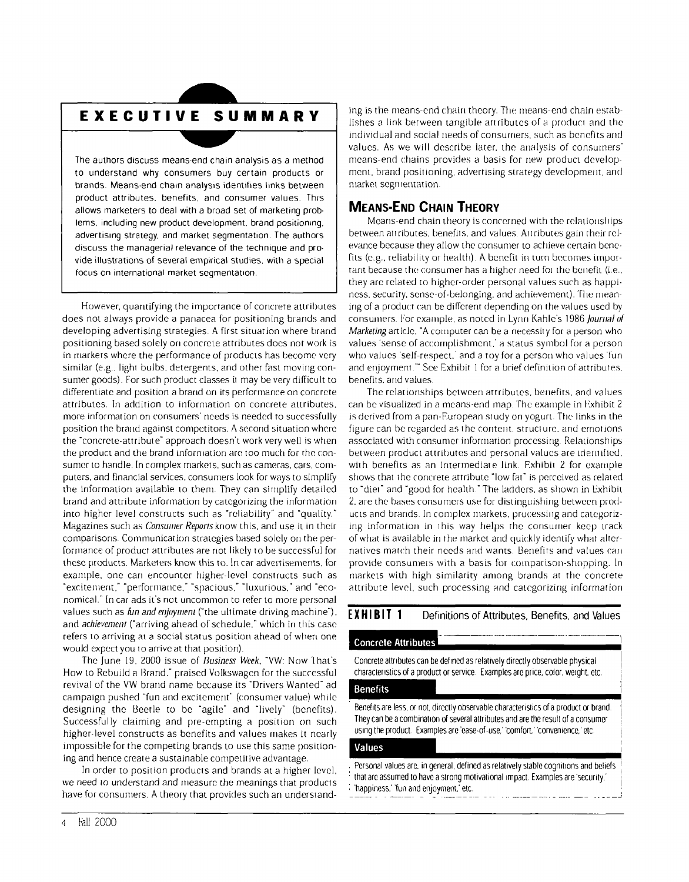# **EXECUTIVE SUMMARY**

**The authors discuss meansend chain analysis as <sup>a</sup> method to understand why consumers buy certain products or brands. Meansend chain analysis identifies links between product attributes. benefits, and consumer values. This allows marketers to deal with <sup>a</sup> broad set of marketing prob lems, including new product development, brand positioning, advertising strategy, and market segmentation. The authors discuss the managerial relevance of the technique and pro vide illustrations of several empirical studies, with <sup>a</sup> special focus on international market segmentation.**

**However, quantifying the importance of concrete attributes does not always provide <sup>a</sup> panacea for positioning brands and developing advertising strategies. A first situation where brand positioning based solely on concrete attributes does not work is in markets where the performance of products has becomc very similar (e.g.. light bulbs, detergents, arid other fast moving con surner goods). For such product clas.ses ii may be very difficult to differentiate and position a brand on its performance on concrete attributes. In addition to information on concrete attributes, more iriformat ion on consumers needs is needed to successfully position the brand against competitors. A second situation where the concrete-attribute approach doesnt work very well is when the product and the brand information are too much for the con sumer to handle. In complex triarkets, such as cameras, cars, coin puters, arid financial services, consumers look for ways to simplify the information available to therti. They can simplify detailed brand and attribute information by categorizing the information into higher level constructs such as reliability and quality. Magazines such as Consumer Repors know this, arid use it in their comparisoris Communication strategies based solely ott the per forniance of product attributes are riot likely to be successful for these products. Marketers know this to. In car advertisements, for exattiple. one cart encounter higher-level constructs such as excitenierit. perforniaitce, spacious. luxurious. and eco nomical. In car ads its riot uncommon to refer to more personal values such as fun and enjoyment (the ultimate driving machine), arid achievement (arriving ahead of schedule, which in this case refers to arriving at <sup>a</sup> social status position ahead of when one would expectyou to arrive at that position).**

**The june 19, 2000 issue of Business Week, VW: Now I hats How to Rebuild <sup>a</sup> l3rarid, praised Volkswagen for the successful revival of the VW brand name because its Drivers Wanted ad campaign pushed fun and excitement (consumer value) while designing the Beetle to be agile and lively (benefits). Successfully claiming and pre-emptirig <sup>a</sup> position on such higher-level constructs as benefits and values rriakes it nearly impossible for the competing brands to use this same position ing and hence create <sup>a</sup> sustainable contpetitive advantage.**

**In order to position products and brands at <sup>a</sup> higher level, we riced to understand and nieasure the meanings that products have for consumers. A theory that provides such art understand**

 $\frac{1}{2}$  **ing** is the means-end chain theory. The means-end chain estab**lishes <sup>a</sup> link between tangible attributes of <sup>a</sup> product and the individual ann social iteeds of consumers, such as benefits and values. As we will describe later, the analysis of consutners means-end chains provides <sup>a</sup> basis for new product develop ment, brand positioning, advertising strategy development, arid market segllientation**

### **MEANS-END CHAIN THEORY**

**Means-end chain theory is concerned with the relatioiislnps between attributes, benefits, and values. Attributes gain their rel evarice because they allow the consumer to achieve c;ertain bene fits (e.g., reliability or health). A benefit in turn becomes iinpor tant because the consumer has <sup>a</sup> higher need foi the benefit (i.e., they are related to higher-order personal values such as happi ness, security. sense-of-belonging, and achievement). Die mean irig of <sup>a</sup> prod uc:t can be different depending on the values used by consuniers For example. as noted in Lynn Kahles 1986 Journal of Marketing article. A computer can be <sup>a</sup> necessity for <sup>a</sup> person who values sense of accomplishment. <sup>a</sup> status symbol for <sup>a</sup> person who values self-respect: and <sup>a</sup> toy for <sup>a</sup> person who values fun and enjoyment See Exhibit <sup>1</sup> for <sup>a</sup> brief definition of attributes, benefits, and values.**

**The relationships between attributes, benefits, and values can be visualized in <sup>a</sup> means-end map The example in l~xhibit <sup>2</sup> is derived from <sup>a</sup> pan-European study on yogurt. The links in the figure can be regarded as the content, structure, arid erriot ions associated with consumer information processitig Relationships between product attributes and personal values are identified, with benefits as an intertnediat <sup>e</sup> link. Exhibit <sup>2</sup> for example shows that the concrete attribute low fat is perceived as related to diet and good for health. The ladders. as shown in Lxhibit 2. are the bases consumers use for distinguishing between prod ucts and brands. In complex markets, processing and categoriz ing information in this way helps the consumer keep track of what is available in the market and quickly identify what alter natives match their needs arid wants. Benefits arid values can provide consumers with <sup>a</sup> basis for comparison-shopping. In mtiarkets with high similarity among brands at the concrete attribute level. such processing and categorizing information**

#### **EXHIBIT <sup>1</sup> Definitions of Attributes, Benefits, and Values**

#### **Concrete Attributes**

**Concrete attributes can be defined as relatively directly observable physical chatactenistics of <sup>a</sup> product or service. Examples are price. color, weight. etc.**

#### **Benefits**

**Benefits ate less, or not, directly observable characteristics of <sup>a</sup> product or brand. They can be <sup>a</sup> combination of several attributes and are the result of <sup>a</sup> consumer using the product. Examples are ease-of-use, comfort, convenience, etc.**

#### **Values**

**Personal values are, in general, defined as relatively stable cognitions and beliefs that are assumed to have <sup>a</sup> strong motivational impact. Examples are security. happiness. fun and enjoyment, etc.**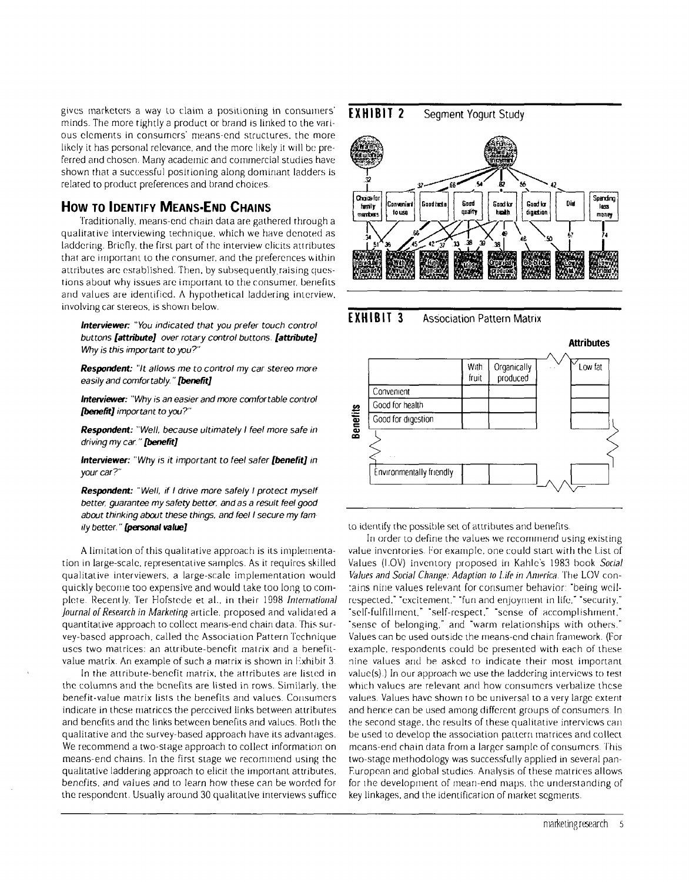**gives marketers <sup>a</sup> way to claim <sup>a</sup> positioning in consumers minds. The more tightly <sup>a</sup> product or brand is linked to the vari ous elements in consumers means-end structures, the more likely it has personal relevance, and the more likely it will be pre ferred and chosen. Many academic and commercial studies have shown that <sup>a</sup> successful positioning along dominant ladders is related to product preferences and brand choices.**

#### **How TO IDENTIFY MEANS-END CHAINS**

**Traditionally, means-end chairt data are gathered through <sup>a</sup> qualitative interviewing technique. which we have denoted as laddering. Briefly, the first part of the interview elicits attributes that are important to the consumer, and the preferences within attributes are established. Then, by subsequently.raising ques tions about why issues are important to the consumer, benefits and values are identified. A hypothetical Iaddering interview. involving car stereos, is shown below.**

**Interviewer You indicated that you prefer touch control buttons (attribute) over rotary control buttons. (attribute) Why is this important to you?**

**Respondent: It allows me to control my car stereo more easily and comfortably. (benefit)**

**lnterview~: Why is an easier and more ccrnfortable control (benefit) important to you?**

**Respondent: Well, because ultimately <sup>I</sup> feel more safe in driving my car. (benefltJ**

**Interviewer: Why is it important to feel safer (benefit) in your car?**

**Respondent: Well, if <sup>I</sup> drive more safely <sup>I</sup> protect myself better, guarantee my safery bette, and as <sup>a</sup> result feel good about thinking about these things, and feel <sup>I</sup> secure my fam ily better. ~p~sonaI valuej**

**A limitation of this qualitative approac:h is its impletnenta tion in large-scale, representative samples. As it requires skilled qualitative interviewers, <sup>a</sup> large-scale implementation would quickly become too expensive and would take too long to cottt plete Recently, len Hofstede et al., in their 1998 international Journal of Research in Marketing article, proposed and validated <sup>a</sup> quantitative approach to collect means-end chain data. This sur vey-based approach. called the Association Pattern Technique uses two matrices: an attribute-benefit mat rix and a benefitvalue matrix. Art example of such <sup>a</sup> matrix is shown in Ilxhibit 3~**

**In the attribute-benefit matrix, the attributes are listed in the columns and the benefits are listed in rows. Similarly, the benefit-value matrix lists the bertefits and values. Consumers indicate in these matrices the perceived links between attributes and benefits and the links hetweert benefits and values. Roth the qualitative and the survey-based approach have its advantages. We recommend <sup>a</sup> two-stage approach to collect infonmatiort on means-end** chains. In the first stage we recommend using the **qualitative laddering approach to elicit the important attributes, benefits, and values and to learn how these can be worded for the respondent. Usually around 30 qualitative interviews suffice**

### **EXH <sup>I</sup> BIT <sup>2</sup> Segment Yogurt Study**







**to identify the possible set of attributes and benefits.**

In order to define the values we recommend using existing **value inventories for example. one could start with the list of Values (lay) inventory proposed lit Kahles 1983 book Social Values and Social Change: Adaption to 1./fe in America, lhe LOV con :ains nitie values relevant for consumer behavior: being wellrespected. excitement, fun and enjoyment in life. security. self-fulfillmrment. self-respect. sense of accomplishment. sertse of belonging. and warm relationships with others. Values (;an be used outside the means-end chain framework. (For example, respondents ;ould be presented with each of these nine values and be asked to indicate their most important value(s).) In our approach we use the ladderirig interviews to test which values are relevant and how cortsumers verbalize these values. Values have showrt to be universal to <sup>a</sup> very large extent and henn;e can be used among different groups of consumers. In the second stage. the results of these qualitative interviews can be used to develop the association pattern matrices and collect means-end chain data from <sup>a</sup> larger sample of consumers lhis two-stage methodology was successfully applied in several pan F.unopean arid global studies. Analysis of these matrices allows for the development of mean-end maps, the urtderstanding of key linkages, and the identification of ntarket segments.**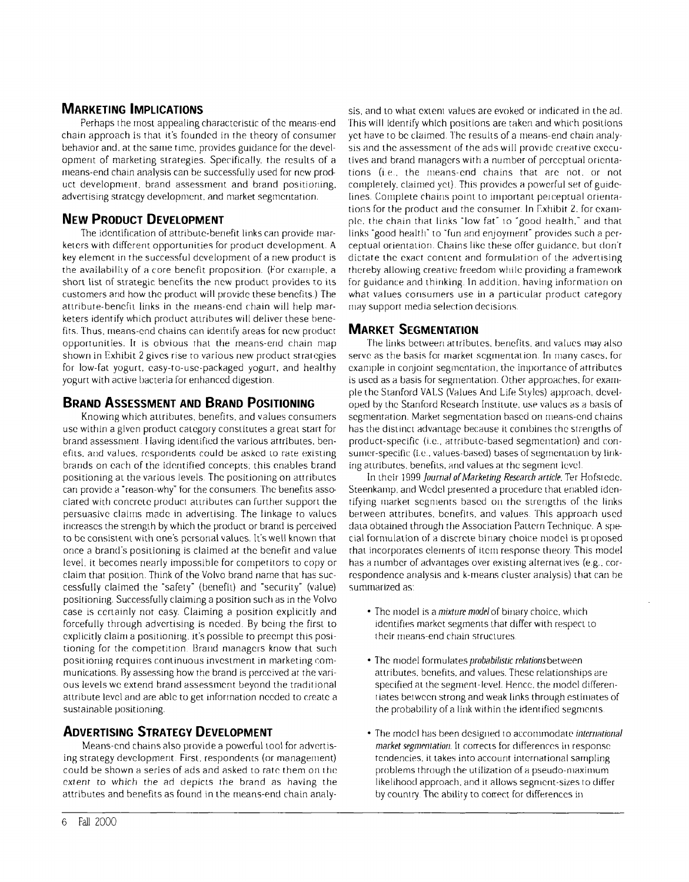# **MARKETING IMPLICATIONS**

**Perhaps the trtost appealing characteristic of the means-end chain approach is that its founded in the theory of consumer behavior and, at the same time, provides guidartce for the (level opmertt of marketing strategies. Specifically, the results of <sup>a</sup> means-end chain analysis can be successfully used for new prod uct development, brand assessmertt and brand positiorting, advertisirtg strategy development, and market segmentation.**

# **NEW PRODUCT DEVELOPMENT**

**The identification of attribute-bertefit links can provide mar keters with different opportunities for product development. A key element in the successful development of <sup>a</sup> new product is the availability of <sup>a</sup> core benefit proposition. (For example, a short list of strategic benefits the new product provides to its customers and how the product will provide these benefits.) The attribute-benefit lirtks in the means-end chain will help mar keters identify which product attributes will deliver these bene fits. Thus, means-end chains can identify areas for new product opportunities. It is obvious that the rneans-ertd chain map shown in Exhibit <sup>2</sup> gives rise to various new product strategies for low-fat yogurt. easy-to-use-packaged yogurt. and healthy yogurt with active bacteria for erthanced digestion.**

# **BRAND ASSESSMENT AND BRAND POsITIoNING**

**Knowing which attributes, benefits, and values consutners use within <sup>a</sup> given product category constitutes <sup>a</sup> great start for**  $b$  **i**  $b$  **i**  $c$  *n i* $b$  **<b>***liaving* **identified the various** attributes, ben**eflis. and values, respondents could be asked <sup>10</sup> rate existing brands on each of the identified concepts: this enables brand positioning at the various levels. The positioning on attributes cart provide <sup>a</sup> reason-why for the consurners lhe benefits asso ciated with concrete product attributes can further support the persuasive claims made in advertising. The linkage to values increases the strength by which the product or brarmd is perceived to be consistent with ones personal values. Its well known that once <sup>a</sup> brands posiiionirtg is claimed at the benefit and value level, it becomes nearly impossible for cotmmpetitors to copy or claim that position. Think of the Volvo brand name that has suc cessfully claimed the safety (benefit) and security (value) positioning. Successfully claiming a position such as in the Volvo case is (:ertainly rmot easy. Claiming <sup>a</sup> position explicitly and forcefully** through advertising is needed. By being the first to **explicitly claim <sup>a</sup> positioning, its possible to preempt this posi tioning** for the competition. Brand managers know that such **positioning requires continuous investment in marketing communications. By assessing how the brand is perceived at the vari ous levels we extertd brand assessment beyond the traditional attribute level and are able to get information needed to create <sup>a</sup> sustainable positioning.**

## **ADVERTISING STRATEGY DEVELOPMENT**

**Means-end chains also provide <sup>a</sup> powerful tool for advertis ing** strategy development. First, respondents (or management) **could be shown <sup>a</sup> series of ads and asked to rate them on the extermr to which the ad depicts the brand as having the attributes and benefits as found in the means-end chain analy**

**sis, artd to what extent values are evoked or indicated in the ad. This will identify which positions are taken and which positions yet have to be claimed. lhe results of <sup>a</sup> tmmearts-end chain armaly sis and the assessment of the ads will provide creative execu tives artd brand rttanagers with <sup>a</sup> number of perceptual orienta**  $t$  **tions** (i.e., the means-end chains that are not, or not  $\epsilon$ **completely**, claimed yet). This provides a powerful set of guide**lines. Complete chains point to important pet ceptual oriertta tions** for the product and the consumer. In Exhibit 2, for exam**ple. the chain that links low fat to good health, and that links good health to fun and enjoyttten( provides such <sup>a</sup> per ceptual orientation. Chains like these offer guidarmce. but (lont dictate the exact content artd formulation of the advertising thereby allowing creative freedom while providing <sup>a</sup> framework** for guidance and thinking. In addition, having information on **what values cortsurrters use lit <sup>a</sup> particular product category may support tnedia selection decisions.**

#### **MARKET SEGMENTATION**

**The lintks between attributes, benefits. arid values may also serve as the basis for market segmnentat ion. In many cases, for example** in conjoint segmentation, the importance of attributes  $i$ **s** used as a basis for segmentation. Other approaches, for exam**pIe the Startford VAI.,S (Values And Life Styles) approach, devel oped by the Stanford Research Institute, use values as <sup>a</sup> basis of**  $s$  **segmentation.** Market segmentation based on means-end chains **has the distinct advantage because it contbirtes the strertgtlts of**  $product-specific$  (i.e.,  $attribute-based segmentation)$  and con**sun er-specihc (i.e. values-based) bases <sup>01</sup> segmentation by link ing attributes, benefits, and values at the segment level.**

In their 1999 *Journal of Marketing Research article*. Ter Hofstede. **Steenkannp. artd Wedel presented <sup>a</sup> procedure that enabled iden tifying immarket segntertts based on the strengths of the links between attributes, benefits, and values This approach used data obtained through the Association Pattern Technique. A special forrtmulation of <sup>a</sup> discrete binaty choice mttodel is proposed that incorporates elements of item response tlteory This model has <sup>a</sup> number of advantages over existing alternatives (e.g.. cor resportdence analysis and k-nnearts cluster armalysis) that cart he summarized as:**

- **The model is <sup>a</sup> mixture mode/of binary choice. which identifies market segments that differ with respect to their** means-end chain structures.
- **The model formulates probabilistic relations between attributes, benefits, and values. These relationships are**  $s$  **specified** at the segment-level. Hence, the model differen**iates between stnortg and weak links through estimates of the probability ofa link within the identified segmitents.**
- $\bullet$  The model has been designed to accommodate *international* **market segmentation. It corrects for differences in response tendencies. it takes into account interriatiortal sarntplirmg problems through the utilization of a pseudo-nmaxinnum likelihood approach. and it allows segment-sizes to differ by country. The ability to correct for differences itt**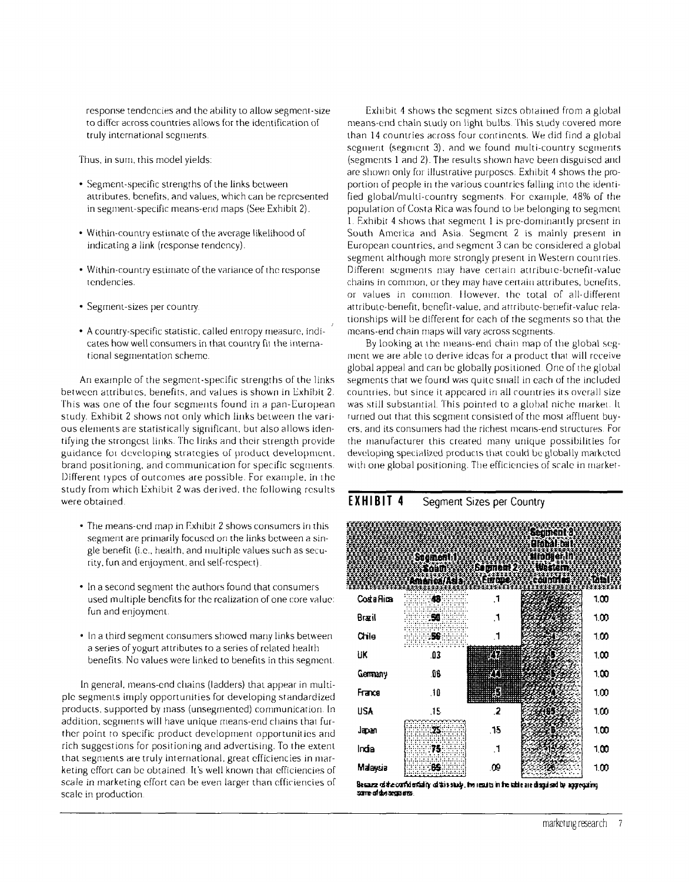**response tendencies and the ability to allow segment-size to differ across countries allows for the identification of truly international segments.**

**lhus, in sum, this model yields:**

- **Segment-specific strengths of the links between attributes, benefits, and values, which can he represented in segment-specific means-end maps (See Exhibit 2).**
- **Within-country estimate of the average likelihood of indicating a link (response tendency).**
- **Within-country estimate of the variance ofthe response tendencies.**
- **Segment-sizes per country.**
- **<sup>A</sup> country-specific statistic, called entropy measure, mdi cates how well consumers in that country fit the interna tional segmentation scheme.**

**Art example of the segment-specific strengths of the links between attributes, benefits, and values is shown in Exhibit 2. This was one of the four segments found in <sup>a</sup> pan-European study. Exhibit <sup>2</sup> shows not only which links between the vari ous elements are statistically significant, but also allows iden tifying the strongest links. The links and their strength provide guidance fot developing strategies of product developrttenn. brand** positioning, and communication for specific segments. **Different types of outcomes are possible. For exaitiple. in the study from which Exhibit <sup>2</sup> was derived, the following results** were obtained

- **The means-end map in Exhibit <sup>2</sup> shows consumers iii this segment are primarily focused on the links between <sup>a</sup> sin gle benefit (i.e.. health, and multiple values such as secu rity. fun and enjoyment. and self-respect).**
- **In <sup>a</sup> second segment the authors found that consumers used multiple benefits for the realization of one core value: fun and enjoyment.**
- **In <sup>a</sup> third segment consumers showed many links between <sup>a</sup> series of yogurt attributes to <sup>a</sup> series of related health benefits. No values were linked to benefits in this segment.**

**In general, means-end chains (ladders) that appear in multi ple segments irtiply opport unities for developing standardized products. supported by mass (unsegrnented) cornmunicatiorc In addition, segnierits will have unique means-end chains that fur ther** point to specific product development opportunities and **rich suggestions for positioning arid advertising. To the extent that segments ate truly international, great efficiencies in mar keting effort can be obtained Its well known that efficiencies of scale in marketing effort can he even larger than efficiencies of scale in production.**

**Exin bit <sup>4</sup> shows the segment sizes obtained from <sup>a</sup> global means-end chain study on light bulbs lhis study covered more than <sup>14</sup> countries across four cortrinents. We did find <sup>a</sup> global segment** (segment 3), and we found multi-country segments **(segments <sup>1</sup> and 2). The results shown have been disguised and are shown only for illustrative purposes. Exhibit <sup>4</sup> shows the pro portioti of people in the various countries falling into the ideriti fied global/multi-country segments. For example. 48% of the population of Costa Rica was found to be belonging to segment L F.xhibit <sup>4</sup> shows that segment <sup>I</sup> is pre-domintatitly present in South America and Asia. Segment <sup>2</sup> is mainly present in European countries, arid segment <sup>3</sup> c:an he considered <sup>a</sup> global segment although more strongly present in Western count ries. Different segments may have certain attribute-benefit-value chains in common, or they may have certain attributes, benefits,**  $or$  **values** in common. However, the total of all-different **attribute-benefit, benefit-value, and attribute-benefit-value rela tioriships will be different for each of the segments so that the means-end chain maps will vary across segtnermts.**

**By looking at the mimeans-encl chain map of the global sc:g tnent we are able to derive ideas for <sup>a</sup> product that will receive global appeal and cart be globally positioned. One of the global segments that we fou rid was quite sti tall in each of the includ cci countries, hut since it appeared nt all countries its overall size was still substantial Ibis pointed to <sup>a</sup> global niche ttiarket, It rurried out that this segmetit consisted of the most affluertt buy ers, arid its consumers had the nic;hest niearis-encl structures. For the manufacturer this created many unique possibilities for developing speciali7.ed products that could be globally marketed**  $w$  **i th** one global positioning. The efficiencies of scale in market-